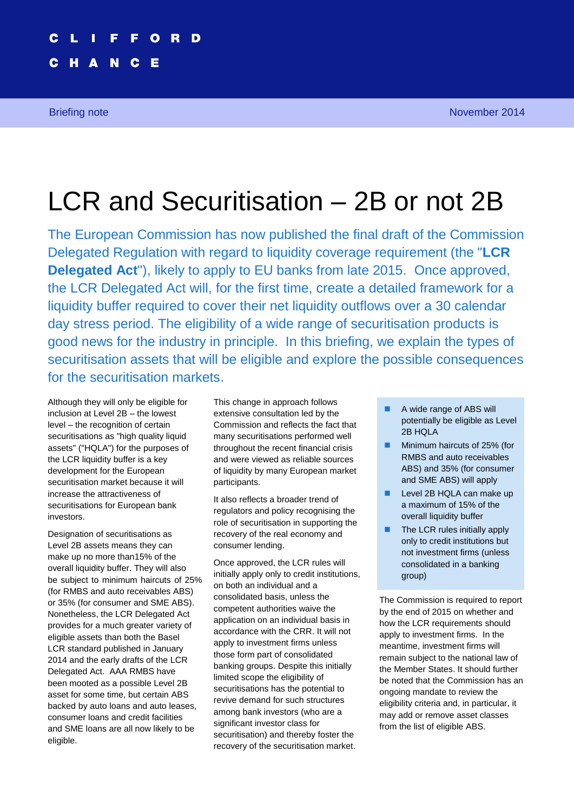# D

C

Е

N

# LCR and Securitisation – 2B or not 2B

The European Commission has now published the final draft of the Commission Delegated Regulation with regard to liquidity coverage requirement (the "**LCR Delegated Act**"), likely to apply to EU banks from late 2015. Once approved, the LCR Delegated Act will, for the first time, create a detailed framework for a liquidity buffer required to cover their net liquidity outflows over a 30 calendar day stress period. The eligibility of a wide range of securitisation products is good news for the industry in principle. In this briefing, we explain the types of securitisation assets that will be eligible and explore the possible consequences for the securitisation markets.

Although they will only be eligible for inclusion at Level 2B – the lowest level – the recognition of certain securitisations as "high quality liquid assets" ("HQLA") for the purposes of the LCR liquidity buffer is a key development for the European securitisation market because it will increase the attractiveness of securitisations for European bank investors.

Designation of securitisations as Level 2B assets means they can make up no more than15% of the overall liquidity buffer. They will also be subject to minimum haircuts of 25% (for RMBS and auto receivables ABS) or 35% (for consumer and SME ABS). Nonetheless, the LCR Delegated Act provides for a much greater variety of eligible assets than both the Basel LCR standard published in January 2014 and the early drafts of the LCR Delegated Act. AAA RMBS have been mooted as a possible Level 2B asset for some time, but certain ABS backed by auto loans and auto leases, consumer loans and credit facilities and SME loans are all now likely to be eligible.

This change in approach follows extensive consultation led by the Commission and reflects the fact that many securitisations performed well throughout the recent financial crisis and were viewed as reliable sources of liquidity by many European market participants.

It also reflects a broader trend of regulators and policy recognising the role of securitisation in supporting the recovery of the real economy and consumer lending.

Once approved, the LCR rules will initially apply only to credit institutions, on both an individual and a consolidated basis, unless the competent authorities waive the application on an individual basis in accordance with the CRR. It will not apply to investment firms unless those form part of consolidated banking groups. Despite this initially limited scope the eligibility of securitisations has the potential to revive demand for such structures among bank investors (who are a significant investor class for securitisation) and thereby foster the recovery of the securitisation market.

- A wide range of ABS will potentially be eligible as Level 2B HQLA
- Minimum haircuts of 25% (for RMBS and auto receivables ABS) and 35% (for consumer and SME ABS) will apply
- Level 2B HQLA can make up a maximum of 15% of the overall liquidity buffer
- $\blacksquare$  The LCR rules initially apply only to credit institutions but not investment firms (unless consolidated in a banking group)

The Commission is required to report by the end of 2015 on whether and how the LCR requirements should apply to investment firms. In the meantime, investment firms will remain subject to the national law of the Member States. It should further be noted that the Commission has an ongoing mandate to review the eligibility criteria and, in particular, it may add or remove asset classes from the list of eligible ABS.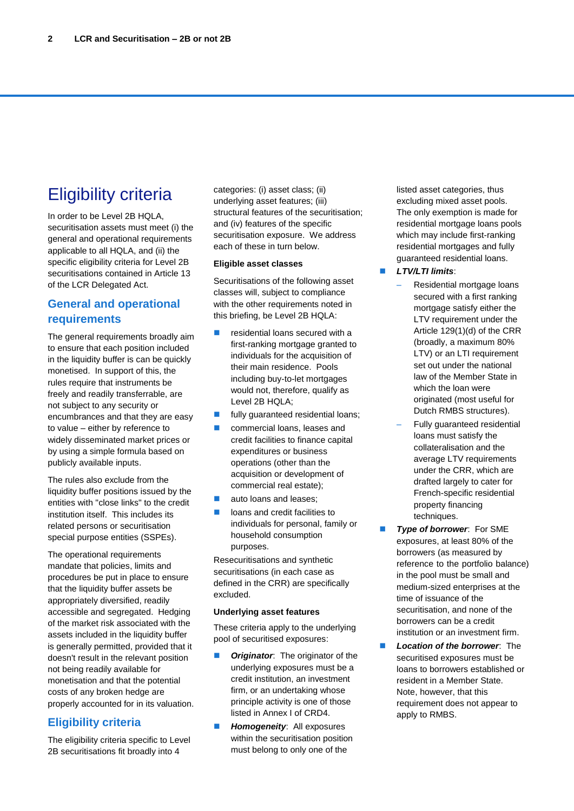# Eligibility criteria

In order to be Level 2B HQLA, securitisation assets must meet (i) the general and operational requirements applicable to all HQLA, and (ii) the specific eligibility criteria for Level 2B securitisations contained in Article 13 of the LCR Delegated Act.

### **General and operational requirements**

The general requirements broadly aim to ensure that each position included in the liquidity buffer is can be quickly monetised. In support of this, the rules require that instruments be freely and readily transferrable, are not subject to any security or encumbrances and that they are easy to value – either by reference to widely disseminated market prices or by using a simple formula based on publicly available inputs.

The rules also exclude from the liquidity buffer positions issued by the entities with "close links" to the credit institution itself. This includes its related persons or securitisation special purpose entities (SSPEs).

The operational requirements mandate that policies, limits and procedures be put in place to ensure that the liquidity buffer assets be appropriately diversified, readily accessible and segregated. Hedging of the market risk associated with the assets included in the liquidity buffer is generally permitted, provided that it doesn't result in the relevant position not being readily available for monetisation and that the potential costs of any broken hedge are properly accounted for in its valuation.

### **Eligibility criteria**

The eligibility criteria specific to Level 2B securitisations fit broadly into 4

categories: (i) asset class; (ii) underlying asset features; (iii) structural features of the securitisation; and (iv) features of the specific securitisation exposure. We address each of these in turn below.

#### **Eligible asset classes**

Securitisations of the following asset classes will, subject to compliance with the other requirements noted in this briefing, be Level 2B HQLA:

- residential loans secured with a first-ranking mortgage granted to individuals for the acquisition of their main residence. Pools including buy-to-let mortgages would not, therefore, qualify as Level 2B HQLA;
- **fully guaranteed residential loans;**
- commercial loans, leases and credit facilities to finance capital expenditures or business operations (other than the acquisition or development of commercial real estate);
- **a** auto loans and leases;
- **lacks** loans and credit facilities to individuals for personal, family or household consumption purposes.

Resecuritisations and synthetic securitisations (in each case as defined in the CRR) are specifically excluded.

#### **Underlying asset features**

These criteria apply to the underlying pool of securitised exposures:

- *Originator*: The originator of the underlying exposures must be a credit institution, an investment firm, or an undertaking whose principle activity is one of those listed in Annex I of CRD4.
- **Homogeneity:** All exposures within the securitisation position must belong to only one of the

listed asset categories, thus excluding mixed asset pools. The only exemption is made for residential mortgage loans pools which may include first-ranking residential mortgages and fully guaranteed residential loans.

#### *LTV/LTI limits*:

- Residential mortgage loans secured with a first ranking mortgage satisfy either the LTV requirement under the Article 129(1)(d) of the CRR (broadly, a maximum 80% LTV) or an LTI requirement set out under the national law of the Member State in which the loan were originated (most useful for Dutch RMBS structures).
- Fully guaranteed residential loans must satisfy the collateralisation and the average LTV requirements under the CRR, which are drafted largely to cater for French-specific residential property financing techniques.
- **Type of borrower:** For SME exposures, at least 80% of the borrowers (as measured by reference to the portfolio balance) in the pool must be small and medium-sized enterprises at the time of issuance of the securitisation, and none of the borrowers can be a credit institution or an investment firm.
- *Location of the borrower*: The securitised exposures must be loans to borrowers established or resident in a Member State. Note, however, that this requirement does not appear to apply to RMBS.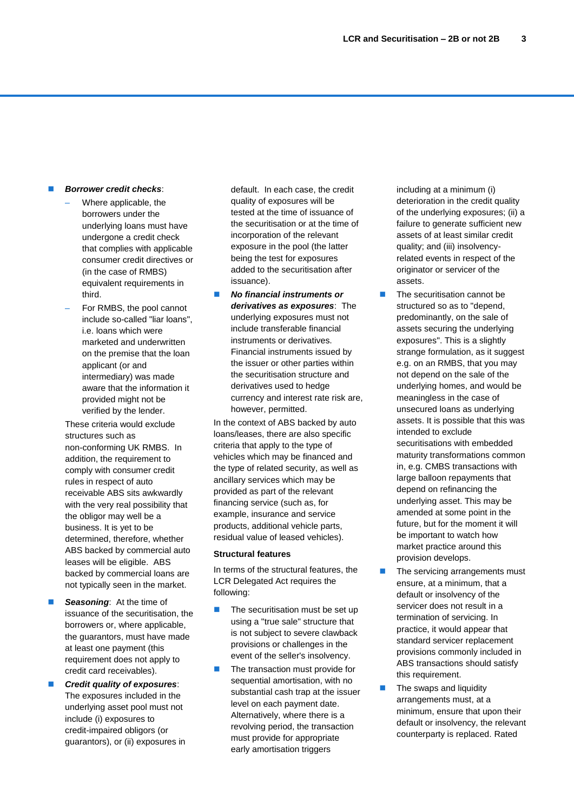#### *Borrower credit checks*:

- Where applicable, the borrowers under the underlying loans must have undergone a credit check that complies with applicable consumer credit directives or (in the case of RMBS) equivalent requirements in third.
- For RMBS, the pool cannot include so-called "liar loans", i.e. loans which were marketed and underwritten on the premise that the loan applicant (or and intermediary) was made aware that the information it provided might not be verified by the lender.

These criteria would exclude structures such as non-conforming UK RMBS. In addition, the requirement to comply with consumer credit rules in respect of auto receivable ABS sits awkwardly with the very real possibility that the obligor may well be a business. It is yet to be determined, therefore, whether ABS backed by commercial auto leases will be eligible. ABS backed by commercial loans are not typically seen in the market.

- *Seasoning*: At the time of issuance of the securitisation, the borrowers or, where applicable, the guarantors, must have made at least one payment (this requirement does not apply to credit card receivables).
- *Credit quality of exposures*: The exposures included in the underlying asset pool must not include (i) exposures to credit-impaired obligors (or guarantors), or (ii) exposures in

default. In each case, the credit quality of exposures will be tested at the time of issuance of the securitisation or at the time of incorporation of the relevant exposure in the pool (the latter being the test for exposures added to the securitisation after issuance).

 *No financial instruments or derivatives as exposures*: The underlying exposures must not include transferable financial instruments or derivatives. Financial instruments issued by the issuer or other parties within the securitisation structure and derivatives used to hedge currency and interest rate risk are, however, permitted.

In the context of ABS backed by auto loans/leases, there are also specific criteria that apply to the type of vehicles which may be financed and the type of related security, as well as ancillary services which may be provided as part of the relevant financing service (such as, for example, insurance and service products, additional vehicle parts, residual value of leased vehicles).

#### **Structural features**

In terms of the structural features, the LCR Delegated Act requires the following:

- $\blacksquare$  The securitisation must be set up using a "true sale" structure that is not subject to severe clawback provisions or challenges in the event of the seller's insolvency.
- The transaction must provide for sequential amortisation, with no substantial cash trap at the issuer level on each payment date. Alternatively, where there is a revolving period, the transaction must provide for appropriate early amortisation triggers

including at a minimum (i) deterioration in the credit quality of the underlying exposures; (ii) a failure to generate sufficient new assets of at least similar credit quality; and (iii) insolvencyrelated events in respect of the originator or servicer of the assets.

- $\blacksquare$  The securitisation cannot be structured so as to "depend, predominantly, on the sale of assets securing the underlying exposures". This is a slightly strange formulation, as it suggest e.g. on an RMBS, that you may not depend on the sale of the underlying homes, and would be meaningless in the case of unsecured loans as underlying assets. It is possible that this was intended to exclude securitisations with embedded maturity transformations common in, e.g. CMBS transactions with large balloon repayments that depend on refinancing the underlying asset. This may be amended at some point in the future, but for the moment it will be important to watch how market practice around this provision develops.
- **The servicing arrangements must** ensure, at a minimum, that a default or insolvency of the servicer does not result in a termination of servicing. In practice, it would appear that standard servicer replacement provisions commonly included in ABS transactions should satisfy this requirement.
- $\blacksquare$  The swaps and liquidity arrangements must, at a minimum, ensure that upon their default or insolvency, the relevant counterparty is replaced. Rated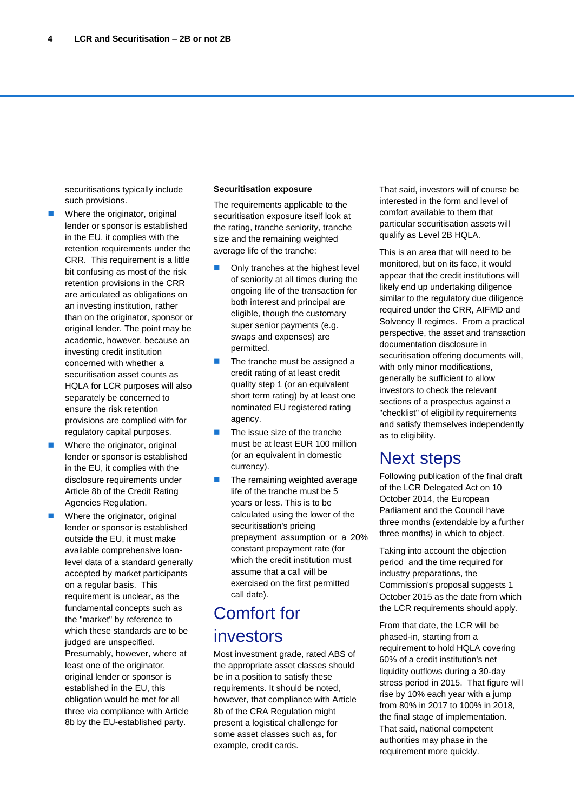securitisations typically include such provisions.

- Where the originator, original lender or sponsor is established in the EU, it complies with the retention requirements under the CRR. This requirement is a little bit confusing as most of the risk retention provisions in the CRR are articulated as obligations on an investing institution, rather than on the originator, sponsor or original lender. The point may be academic, however, because an investing credit institution concerned with whether a securitisation asset counts as HQLA for LCR purposes will also separately be concerned to ensure the risk retention provisions are complied with for regulatory capital purposes.
- Where the originator, original lender or sponsor is established in the EU, it complies with the disclosure requirements under Article 8b of the Credit Rating Agencies Regulation.
- Where the originator, original lender or sponsor is established outside the EU, it must make available comprehensive loanlevel data of a standard generally accepted by market participants on a regular basis. This requirement is unclear, as the fundamental concepts such as the "market" by reference to which these standards are to be judged are unspecified. Presumably, however, where at least one of the originator, original lender or sponsor is established in the EU, this obligation would be met for all three via compliance with Article 8b by the EU-established party.

#### **Securitisation exposure**

The requirements applicable to the securitisation exposure itself look at the rating, tranche seniority, tranche size and the remaining weighted average life of the tranche:

- **Only tranches at the highest level** of seniority at all times during the ongoing life of the transaction for both interest and principal are eligible, though the customary super senior payments (e.g. swaps and expenses) are permitted.
- $\blacksquare$  The tranche must be assigned a credit rating of at least credit quality step 1 (or an equivalent short term rating) by at least one nominated EU registered rating agency.
- $\blacksquare$  The issue size of the tranche must be at least EUR 100 million (or an equivalent in domestic currency).
- $\blacksquare$  The remaining weighted average life of the tranche must be 5 years or less. This is to be calculated using the lower of the securitisation's pricing prepayment assumption or a 20% constant prepayment rate (for which the credit institution must assume that a call will be exercised on the first permitted call date).

# Comfort for investors

Most investment grade, rated ABS of the appropriate asset classes should be in a position to satisfy these requirements. It should be noted, however, that compliance with Article 8b of the CRA Regulation might present a logistical challenge for some asset classes such as, for example, credit cards.

That said, investors will of course be interested in the form and level of comfort available to them that particular securitisation assets will qualify as Level 2B HQLA.

This is an area that will need to be monitored, but on its face, it would appear that the credit institutions will likely end up undertaking diligence similar to the regulatory due diligence required under the CRR, AIFMD and Solvency II regimes. From a practical perspective, the asset and transaction documentation disclosure in securitisation offering documents will, with only minor modifications, generally be sufficient to allow investors to check the relevant sections of a prospectus against a "checklist" of eligibility requirements and satisfy themselves independently as to eligibility.

### Next steps

Following publication of the final draft of the LCR Delegated Act on 10 October 2014, the European Parliament and the Council have three months (extendable by a further three months) in which to object.

Taking into account the objection period and the time required for industry preparations, the Commission's proposal suggests 1 October 2015 as the date from which the LCR requirements should apply.

From that date, the LCR will be phased-in, starting from a requirement to hold HQLA covering 60% of a credit institution's net liquidity outflows during a 30-day stress period in 2015. That figure will rise by 10% each year with a jump from 80% in 2017 to 100% in 2018, the final stage of implementation. That said, national competent authorities may phase in the requirement more quickly.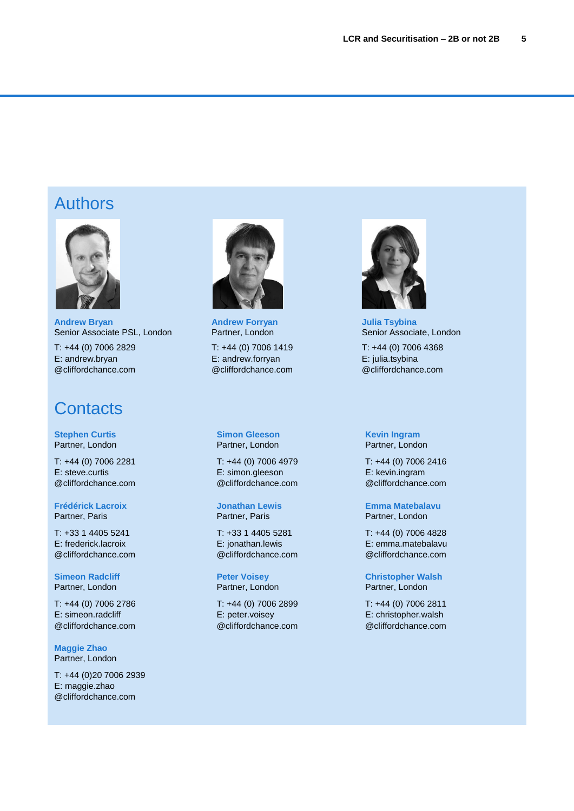### Authors



**Andrew Bryan** Senior Associate PSL, London

T: +44 (0) 7006 2829 E: andrew.bryan @cliffordchance.com

### **Contacts**

**Stephen Curtis** Partner, London

T: +44 (0) 7006 2281 E: steve.curtis @cliffordchance.com

**Frédérick Lacroix** Partner, Paris

T: +33 1 4405 5241 E: frederick.lacroix @cliffordchance.com

**Simeon Radcliff** Partner, London

T: +44 (0) 7006 2786 E: simeon.radcliff @cliffordchance.com

**Maggie Zhao** Partner, London

T: +44 (0)20 7006 2939 E: maggie.zhao @cliffordchance.com



**Andrew Forryan** Partner, London

T: +44 (0) 7006 1419 E: andrew.forryan @cliffordchance.com

**Simon Gleeson** Partner, London

T: +44 (0) 7006 4979 E: simon.gleeson @cliffordchance.com

**Jonathan Lewis** Partner, Paris

T: +33 1 4405 5281 E: jonathan.lewis @cliffordchance.com

**Peter Voisey** Partner, London

T: +44 (0) 7006 2899 E: peter.voisey @cliffordchance.com



**Julia Tsybina** Senior Associate, London

T: +44 (0) 7006 4368 E: julia.tsybina @cliffordchance.com

**Kevin Ingram** Partner, London

T: +44 (0) 7006 2416 E: kevin.ingram @cliffordchance.com

**Emma Matebalavu** Partner, London

T: +44 (0) 7006 4828 E: emma.matebalavu @cliffordchance.com

**Christopher Walsh** Partner, London

T: +44 (0) 7006 2811 E: christopher.walsh @cliffordchance.com